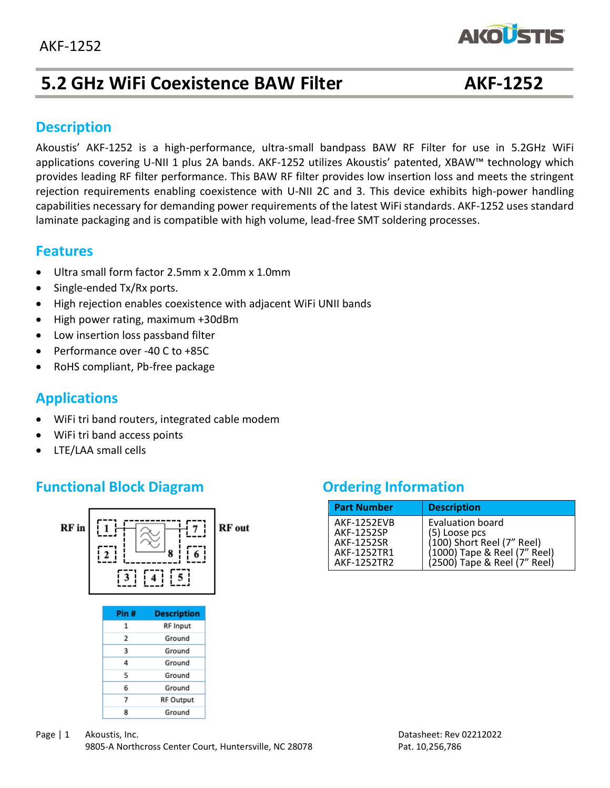

# **5.2 GHz WiFi Coexistence BAW Filter AKF-1252**

#### **Description**

Akoustis' AKF-1252 is a high-performance, ultra-small bandpass BAW RF Filter for use in 5.2GHz WiFi applications covering U-NII 1 plus 2A bands. AKF-1252 utilizes Akoustis' patented, XBAW™ technology which provides leading RF filter performance. This BAW RF filter provides low insertion loss and meets the stringent rejection requirements enabling coexistence with U-NII 2C and 3. This device exhibits high-power handling capabilities necessary for demanding power requirements of the latest WiFi standards. AKF-1252 uses standard laminate packaging and is compatible with high volume, lead-free SMT soldering processes.

#### **Features**

- Ultra small form factor 2.5mm x 2.0mm x 1.0mm
- Single-ended Tx/Rx ports.
- High rejection enables coexistence with adjacent WiFi UNII bands
- High power rating, maximum +30dBm
- Low insertion loss passband filter
- Performance over -40 C to +85C
- RoHS compliant, Pb-free package

## **Applications**

- WiFi tri band routers, integrated cable modem
- WiFi tri band access points
- LTE/LAA small cells

## **Functional Block Diagram Diagram Ordering Information**



 $\overline{z}$ 

8

| <b>Part Number</b>                                                           | <b>Description</b>                                                                                                              |
|------------------------------------------------------------------------------|---------------------------------------------------------------------------------------------------------------------------------|
| <b>AKF-1252EVB</b><br>AKF-1252SP<br>AKF-1252SR<br>AKF-1252TR1<br>AKF-1252TR2 | Evaluation board<br>(5) Loose pcs<br>(100) Short Reel (7" Reel)<br>(1000) Tape & Reel (7" Reel)<br>(2500) Tape & Reel (7" Reel) |

**RF Output** 

Ground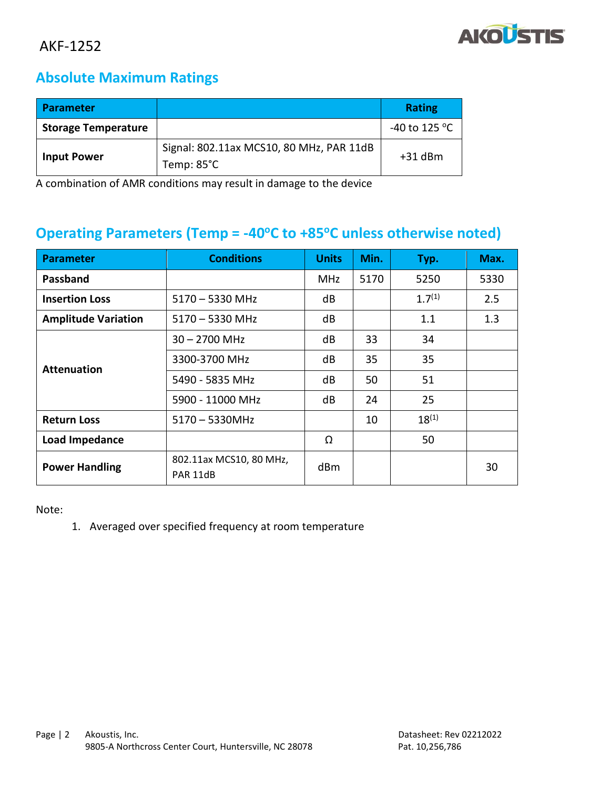

## **Absolute Maximum Ratings**

| <b>Parameter</b>           |                                                                  | <b>Rating</b>           |
|----------------------------|------------------------------------------------------------------|-------------------------|
| <b>Storage Temperature</b> |                                                                  | -40 to 125 $^{\circ}$ C |
| <b>Input Power</b>         | Signal: 802.11ax MCS10, 80 MHz, PAR 11dB<br>Temp: $85^{\circ}$ C | $+31$ dBm               |

A combination of AMR conditions may result in damage to the device

#### **Operating Parameters (Temp = -40<sup>o</sup>C to +85<sup>o</sup>C unless otherwise noted)**

| <b>Parameter</b>           | <b>Conditions</b>                   | <b>Units</b> | Min. | Typ.        | Max. |
|----------------------------|-------------------------------------|--------------|------|-------------|------|
| Passband                   |                                     | MHz          | 5170 | 5250        | 5330 |
| <b>Insertion Loss</b>      | $5170 - 5330$ MHz                   | dB           |      | $1.7^{(1)}$ | 2.5  |
| <b>Amplitude Variation</b> | $5170 - 5330$ MHz                   | dB           |      | 1.1         | 1.3  |
|                            | $30 - 2700$ MHz                     | dB           | 33   | 34          |      |
| <b>Attenuation</b>         | 3300-3700 MHz                       | dB           | 35   | 35          |      |
|                            | 5490 - 5835 MHz                     | dB           | 50   | 51          |      |
|                            | 5900 - 11000 MHz                    | dB           | 24   | 25          |      |
| <b>Return Loss</b>         | $5170 - 5330$ MHz                   |              | 10   | $18^{(1)}$  |      |
| Load Impedance             |                                     | Ω            |      | 50          |      |
| <b>Power Handling</b>      | 802.11ax MCS10, 80 MHz,<br>PAR 11dB | dBm          |      |             | 30   |

Note:

1. Averaged over specified frequency at room temperature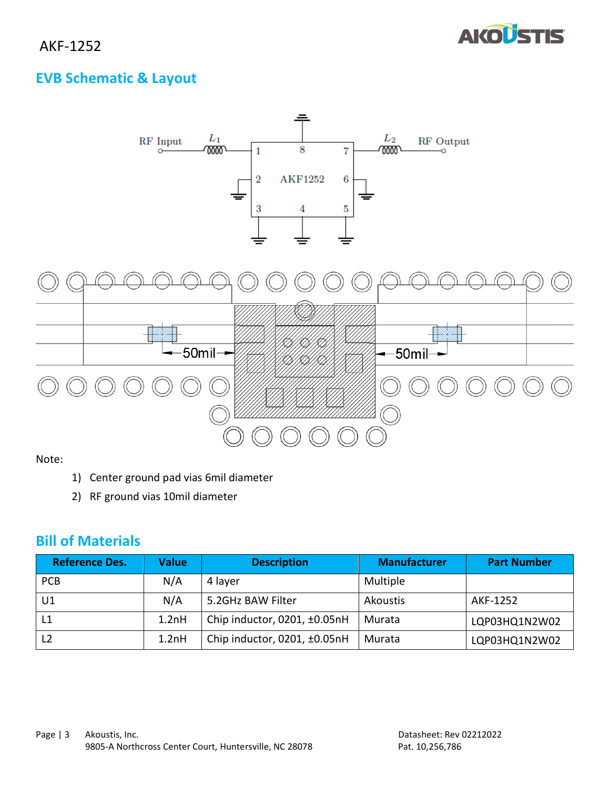

## **EVB Schematic & Layout**



Note:

- 1) Center ground pad vias 6mil diameter
- 2) RF ground vias 10mil diameter

## **Bill of Materials**

| <b>Reference Des.</b> | Value | <b>Description</b>           | <b>Manufacturer</b> | <b>Part Number</b> |
|-----------------------|-------|------------------------------|---------------------|--------------------|
| <b>PCB</b>            | N/A   | 4 layer                      | Multiple            |                    |
| U1                    | N/A   | 5.2GHz BAW Filter            | Akoustis            | AKF-1252           |
|                       | 1.2nH | Chip inductor, 0201, ±0.05nH | Murata              | LQP03HQ1N2W02      |
| L <sub>2</sub>        | 1.2nH | Chip inductor, 0201, ±0.05nH | Murata              | LQP03HQ1N2W02      |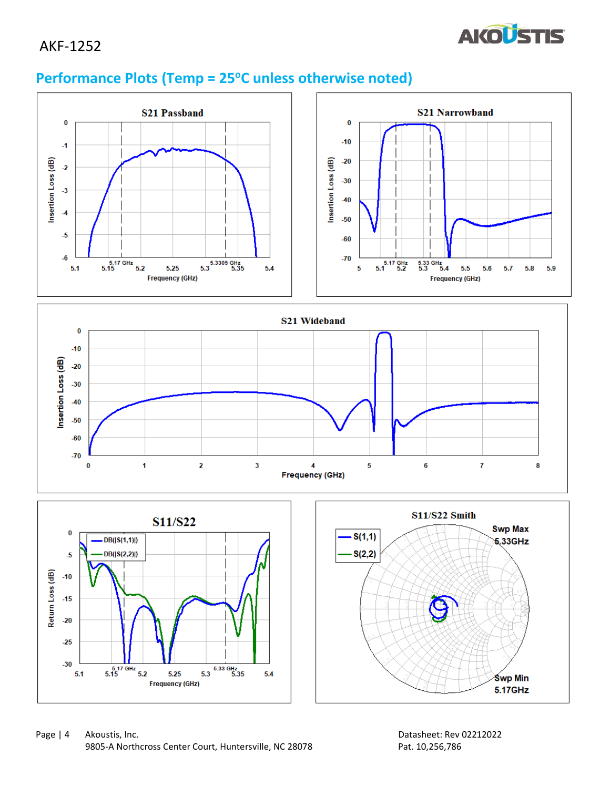

## **Performance Plots (Temp = 25<sup>o</sup>C unless otherwise noted)**

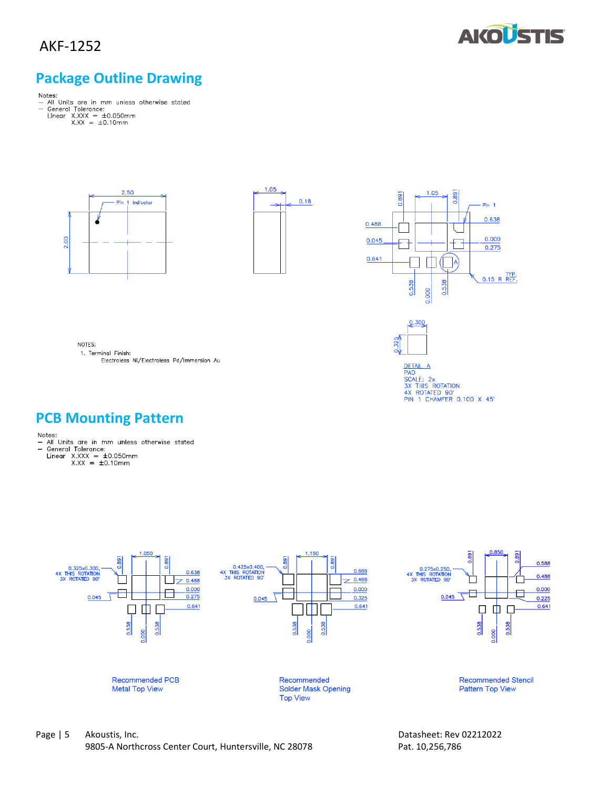

## **Package Outline Drawing**

- Notes:<br>- All Units are in mm unless otherwise stated<br>- General Tolerance:<br>- Linear X.XXX = ±0.050mm<br>- X.XX = ±0.10mm
	- -







DETAIL A<br>PAD<br>SX THIS ROTATION<br>3X THIS ROTATION<br>4X ROTATED 90'<br>PIN 1 CHAMFER 0.100 X 45'

0.300

 $0.325$ 

NOTES:

1. Terminal Finish: Electroless Ni/Electroless Pd/Immersion Au

## **PCB Mounting Pattern**

- Notes:<br>— All Units are in mm unless otherwise stated<br>— General Tolerance:
	-
	- General Tolerance:<br>Linear X.XXX =  $\pm 0.050$ mm<br>X.XX =  $\pm 0.10$ mm

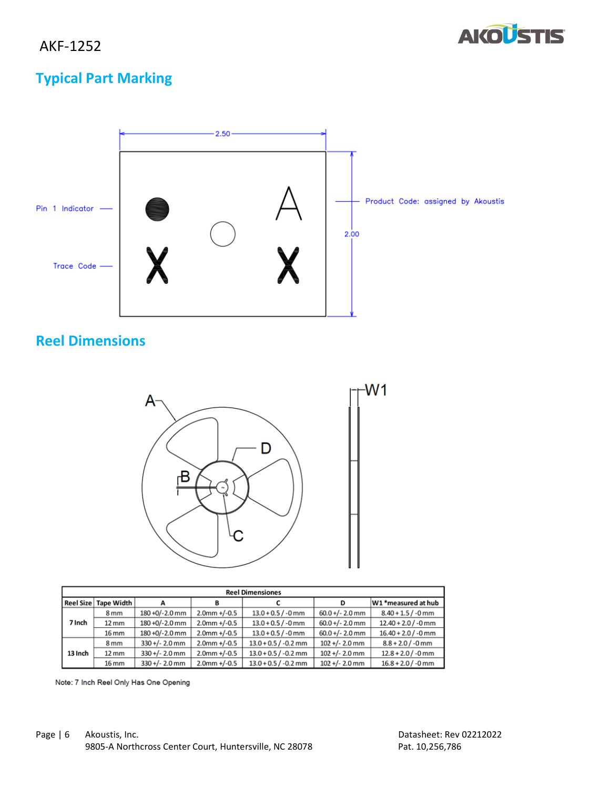

# **Typical Part Marking**



## **Reel Dimensions**



| <b>Reel Dimensiones</b> |                   |                  |                 |                        |                   |                       |
|-------------------------|-------------------|------------------|-----------------|------------------------|-------------------|-----------------------|
| Reel Size               | Tape Width        |                  | в               |                        | D                 | W1 *measured at hub   |
| 7 Inch                  | 8 <sub>mm</sub>   | 180 +0/-2.0 mm   | $2.0$ mm +/-0.5 | $13.0 + 0.5 / -0$ mm   | $60.0 +/- 2.0$ mm | $8.40 + 1.5 / -0$ mm  |
|                         | $12 \text{ mm}$   | 180 +0/-2.0 mm   | $2.0$ mm +/-0.5 | $13.0 + 0.5 / -0$ mm   | $60.0 +/- 2.0$ mm | $12.40 + 2.0$ / -0 mm |
|                         | 16 mm             | 180 +0/-2.0 mm   | $2.0$ mm +/-0.5 | $13.0 + 0.5 / -0$ mm   | $60.0 +/- 2.0$ mm | $16.40 + 2.0 / -0$ mm |
| 13 Inch                 | 8 <sub>mm</sub>   | $330 +/- 2.0$ mm | $2.0$ mm +/-0.5 | $13.0 + 0.5 / -0.2$ mm | $102 +/- 2.0$ mm  | $8.8 + 2.0 / -0$ mm   |
|                         | $12 \, \text{mm}$ | $330 +/- 2.0$ mm | $2.0$ mm +/-0.5 | $13.0 + 0.5 / -0.2$ mm | $102 +/- 2.0$ mm  | $12.8 + 2.0 / -0$ mm  |
|                         | 16 mm             | $330 +/- 2.0$ mm | $2.0$ mm +/-0.5 | $13.0 + 0.5 / -0.2$ mm | $102 +/- 2.0$ mm  | $16.8 + 2.0 / -0$ mm  |

Note: 7 Inch Reel Only Has One Opening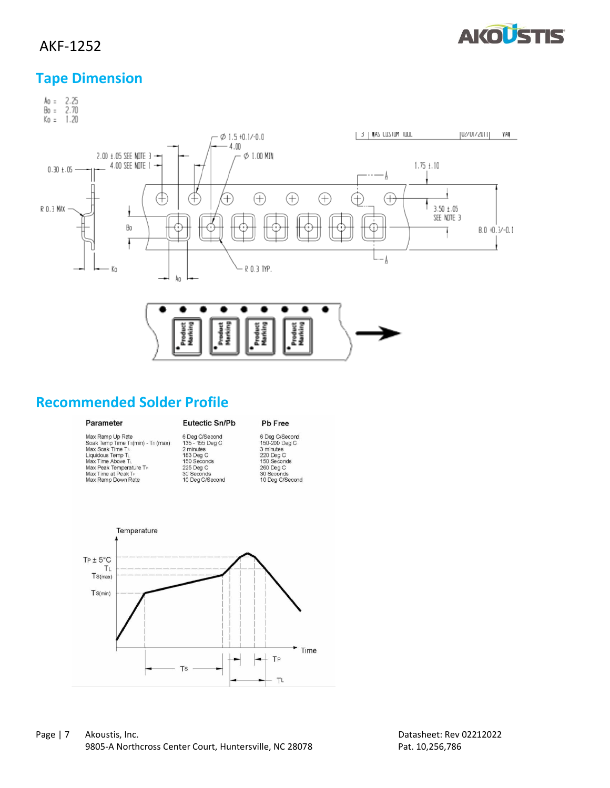

#### **Tape Dimension**



#### **Recommended Solder Profile**

#### Parameter

#### Eutectic Sn/Pb

#### Pb Free

| Max Ramp Up Rate                  | 6 D             |
|-----------------------------------|-----------------|
| Soak Temp Time Ts(min) - Ts (max) | 135             |
| Max Soak Time Ts                  | 2 <sub>π</sub>  |
| Liquidous Temp TL                 | 183             |
| Max Time Above TL                 | 150             |
| Max Peak Temperature TP           | 225             |
| Max Time at Peak TP               | 30.             |
| May Ramp Down Rate                | 10 <sup>1</sup> |

Deg C/Second<br>5 - 155 Deg C<br>ninutes<br>3 Deg C<br>0 Seconds<br>5 Deg C<br>Seconds<br>Deg C/Second

6 Deg C/Second<br>150-200 Deg C<br>3 minutes<br>220 Deg C<br>150 Seconds<br>260 Deg C<br>30 Seconds<br>10 Deg C/Second